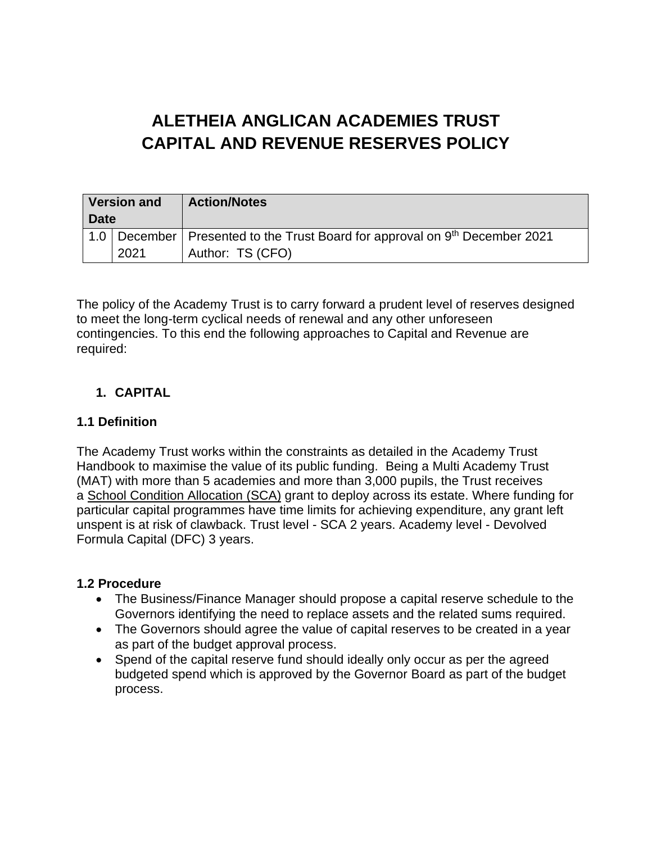# **ALETHEIA ANGLICAN ACADEMIES TRUST CAPITAL AND REVENUE RESERVES POLICY**

| <b>Version and</b><br><b>Date</b> |      | <b>Action/Notes</b>                                                                                             |
|-----------------------------------|------|-----------------------------------------------------------------------------------------------------------------|
|                                   | 2021 | 1.0   December   Presented to the Trust Board for approval on 9 <sup>th</sup> December 2021<br>Author: TS (CFO) |

The policy of the Academy Trust is to carry forward a prudent level of reserves designed to meet the long-term cyclical needs of renewal and any other unforeseen contingencies. To this end the following approaches to Capital and Revenue are required:

## **1. CAPITAL**

## **1.1 Definition**

The Academy Trust works within the constraints as detailed in the Academy Trust Handbook to maximise the value of its public funding. Being a Multi Academy Trust (MAT) with more than 5 academies and more than 3,000 pupils, the Trust receives a School Condition [Allocation](https://www.gov.uk/government/publications/capital-allocations) (SCA) grant to deploy across its estate. Where funding for particular capital programmes have time limits for achieving expenditure, any grant left unspent is at risk of clawback. Trust level - SCA 2 years. Academy level - Devolved Formula Capital (DFC) 3 years.

### **1.2 Procedure**

- The Business/Finance Manager should propose a capital reserve schedule to the Governors identifying the need to replace assets and the related sums required.
- The Governors should agree the value of capital reserves to be created in a year as part of the budget approval process.
- Spend of the capital reserve fund should ideally only occur as per the agreed budgeted spend which is approved by the Governor Board as part of the budget process.